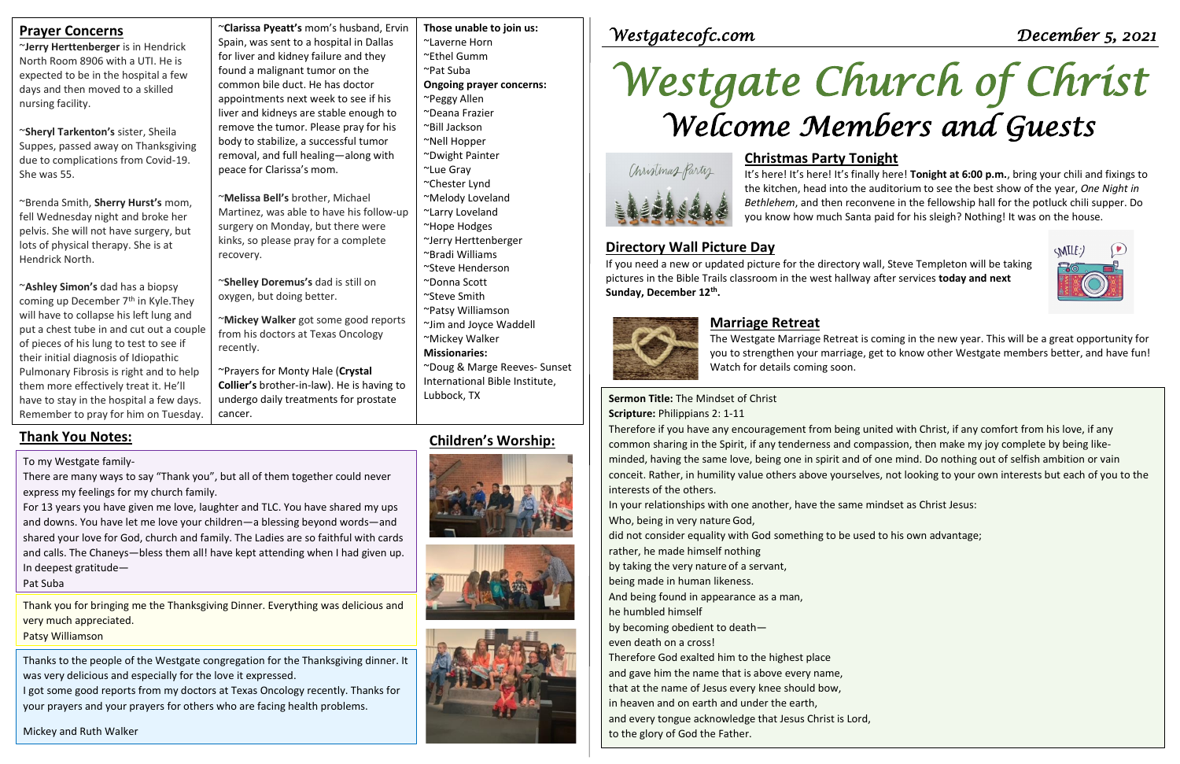| <b>Prayer Concerns</b><br>~Jerry Herttenberger is in Hendrick<br>North Room 8906 with a UTI. He is<br>expected to be in the hospital a few<br>days and then moved to a skilled<br>nursing facility.<br>~Sheryl Tarkenton's sister, Sheila                                                                                                                                                                                               | ~Clarissa Pyeatt's mom's husband, Ervin<br>Spain, was sent to a hospital in Dallas<br>for liver and kidney failure and they<br>found a malignant tumor on the<br>common bile duct. He has doctor<br>appointments next week to see if his<br>liver and kidneys are stable enough to<br>remove the tumor. Please pray for his | Those unable to join us:<br>~Laverne Horn<br>~Ethel Gumm<br>~Pat Suba<br><b>Ongoing prayer concerns:</b><br>~Peggy Allen<br>~Deana Frazier<br>~Bill Jackson | Westgatecofc.com<br>Westgate Church of Christ<br>Welcome Members and Guests                                                                                                                                                                 | December 5, 2021                                                                                                    |  |
|-----------------------------------------------------------------------------------------------------------------------------------------------------------------------------------------------------------------------------------------------------------------------------------------------------------------------------------------------------------------------------------------------------------------------------------------|-----------------------------------------------------------------------------------------------------------------------------------------------------------------------------------------------------------------------------------------------------------------------------------------------------------------------------|-------------------------------------------------------------------------------------------------------------------------------------------------------------|---------------------------------------------------------------------------------------------------------------------------------------------------------------------------------------------------------------------------------------------|---------------------------------------------------------------------------------------------------------------------|--|
| Suppes, passed away on Thanksgiving<br>due to complications from Covid-19.<br>She was 55.                                                                                                                                                                                                                                                                                                                                               | body to stabilize, a successful tumor<br>removal, and full healing-along with<br>peace for Clarissa's mom.<br>~Melissa Bell's brother, Michael                                                                                                                                                                              | ~Nell Hopper<br>~Dwight Painter<br>~Lue Gray<br>~Chester Lynd<br>~Melody Loveland                                                                           | <b>Christmas Party Tonight</b><br>Christmas Party<br>It's here! It's here! It's finally here! Tonight at 6:00 p.m., bring your chili and fixings to<br>the kitchen, head into the auditorium to see the best show of the year, One Night in |                                                                                                                     |  |
| ~Brenda Smith, Sherry Hurst's mom,<br>fell Wednesday night and broke her<br>pelvis. She will not have surgery, but<br>lots of physical therapy. She is at<br>Hendrick North.                                                                                                                                                                                                                                                            | Martinez, was able to have his follow-up<br>surgery on Monday, but there were<br>kinks, so please pray for a complete<br>recovery.                                                                                                                                                                                          | ~Larry Loveland<br>~Hope Hodges<br>~Jerry Herttenberger<br>~Bradi Williams<br>~Steve Henderson                                                              | you know how much Santa paid for his sleigh? Nothing! It was on the house.<br><b>Directory Wall Picture Day</b><br>If you need a new or updated picture for the directory wall, Steve Templeton will be taking                              | Bethlehem, and then reconvene in the fellowship hall for the potluck chili supper. Do<br>$\text{MIL}$<br>$\sqrt{2}$ |  |
| ~Ashley Simon's dad has a biopsy<br>coming up December 7 <sup>th</sup> in Kyle. They<br>will have to collapse his left lung and<br>put a chest tube in and cut out a couple<br>of pieces of his lung to test to see if<br>their initial diagnosis of Idiopathic<br>Pulmonary Fibrosis is right and to help<br>them more effectively treat it. He'll<br>have to stay in the hospital a few days.<br>Remember to pray for him on Tuesday. | ~Shelley Doremus's dad is still on<br>oxygen, but doing better.<br>~Mickey Walker got some good reports                                                                                                                                                                                                                     | ~Donna Scott<br>~Steve Smith<br>~Patsy Williamson<br>~Jim and Joyce Waddell                                                                                 | pictures in the Bible Trails classroom in the west hallway after services today and next<br>Sunday, December 12th.<br><b>Marriage Retreat</b>                                                                                               |                                                                                                                     |  |
|                                                                                                                                                                                                                                                                                                                                                                                                                                         | from his doctors at Texas Oncology<br>recently.<br>~Prayers for Monty Hale (Crystal<br>Collier's brother-in-law). He is having to                                                                                                                                                                                           | ~Mickey Walker<br><b>Missionaries:</b><br>~Doug & Marge Reeves- Sunset<br>International Bible Institute,<br>Lubbock, TX                                     | The Westgate Marriage Retreat is coming in the new year. This will be a great opportunity for<br>you to strengthen your marriage, get to know other Westgate members better, and have fun!<br>Watch for details coming soon.                |                                                                                                                     |  |
|                                                                                                                                                                                                                                                                                                                                                                                                                                         | undergo daily treatments for prostate<br>cancer.                                                                                                                                                                                                                                                                            |                                                                                                                                                             | Sermon Title: The Mindset of Christ<br>Scripture: Philippians 2: 1-11<br>Therefore if you have any encouragement from being united with Christ, if any comfort from his love, if any                                                        |                                                                                                                     |  |

Ig united with Christ, if any comfort from his love, if any common sharing in the Spirit, if any tenderness and compassion, then make my joy complete by being likeminded, having the same love, being one in spirit and of one mind. Do nothing out of selfish ambition or vain conceit. Rather, in humility value others above yourselves, not looking to your own interests but each of you to the interests of the others.

# *Westgate Church of Christ Welcome Members and Guests*

In your relationships with one another, have the same mindset as Christ Jesus: Who, being in very nature God,

did not consider equality with God something to be used to his own advantage; rather, he made himself nothing

by taking the very nature of a servant,

being made in human likeness.

**Thank You Notes:** and downs. You have let me love your children—a blessing beyond words—and For 13 years you have given me love, laughter and TLC. You have shared my ups shared your love for God, church and family. The Ladies are so faithful with cards and calls. The Chaneys-bless them all! have kept attending when I had given up. In deepest gratitude—

And being found in appearance as a man,

he humbled himself

by becoming obedient to death—

even death on a cross!

Therefore God exalted him to the highest place

and gave him the name that is above every name,

that at the name of Jesus every knee should bow,

in heaven and on earth and under the earth,

and every tongue acknowledge that Jesus Christ is Lord, to the glory of God the Father.

# **Conight**



To my Westgate family-

There are many ways to say "Thank you", but all of them together could never express my feelings for my church family.

#### Pat Suba

Thank you for bringing me the Thanksgiving Dinner. Everything was delicious and very much appreciated.

## Patsy Williamson

Thanks to the people of the Westgate congregation for the Thanksgiving dinner. It was very delicious and especially for the love it expressed.

I got some good reports from my doctors at Texas Oncology recently. Thanks for your prayers and your prayers for others who are facing health problems.

Mickey and Ruth Walker







# **Children's Worship: Thank You Notes:**